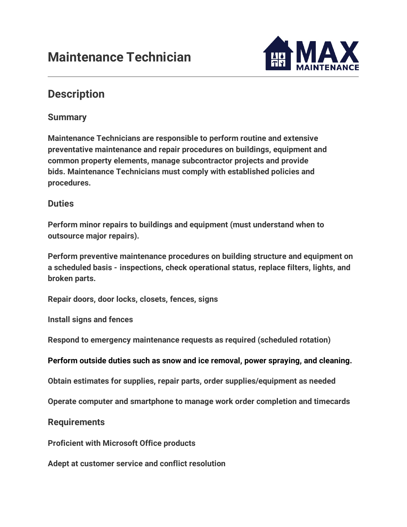

## **Description**

## **Summary**

**Maintenance Technicians are responsible to perform routine and extensive preventative maintenance and repair procedures on buildings, equipment and common property elements, manage subcontractor projects and provide bids. Maintenance Technicians must comply with established policies and procedures.**

## **Duties**

**Perform minor repairs to buildings and equipment (must understand when to outsource major repairs).**

**Perform preventive maintenance procedures on building structure and equipment on a scheduled basis - inspections, check operational status, replace filters, lights, and broken parts.**

**Repair doors, door locks, closets, fences, signs**

**Install signs and fences**

**Respond to emergency maintenance requests as required (scheduled rotation)**

**Perform outside duties such as snow and ice removal, power spraying, and cleaning.**

**Obtain estimates for supplies, repair parts, order supplies/equipment as needed**

**Operate computer and smartphone to manage work order completion and timecards**

**Requirements**

**Proficient with Microsoft Office products**

**Adept at customer service and conflict resolution**